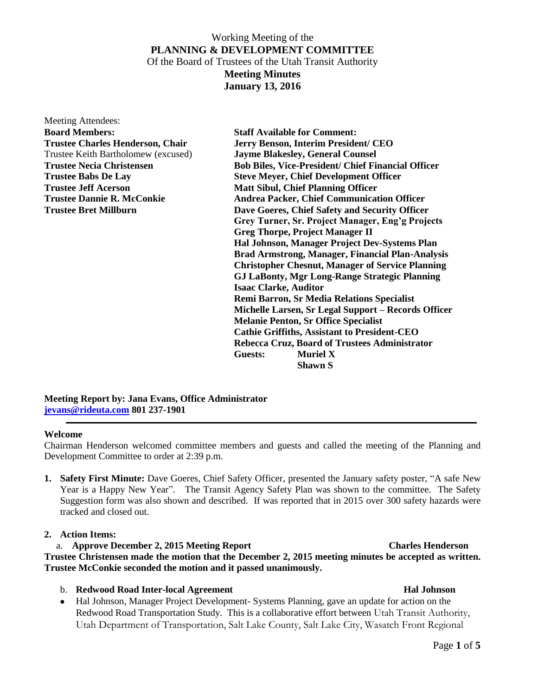## Working Meeting of the **PLANNING & DEVELOPMENT COMMITTEE** Of the Board of Trustees of the Utah Transit Authority **Meeting Minutes**

**January 13, 2016**

| <b>Meeting Attendees:</b>               |
|-----------------------------------------|
| <b>Board Members:</b>                   |
| <b>Trustee Charles Henderson, Chair</b> |
| Trustee Keith Bartholomew (excused)     |
| <b>Trustee Necia Christensen</b>        |
| <b>Trustee Babs De Lay</b>              |
| Trustee Jeff Acerson                    |
| <b>Trustee Dannie R. McConkie</b>       |
| <b>Trustee Bret Millburn</b>            |
|                                         |

**Staff Available for Comment: Jerry Benson, Interim President/ CEO** Jayme Blakesley, General Counsel **Bob Biles, Vice-President/ Chief Financial Officer Steve Meyer, Chief Development Officer Matt Sibul, Chief Planning Officer Andrea Packer, Chief Communication Officer Dave Goeres, Chief Safety and Security Officer Grey Turner, Sr. Project Manager, Eng'g Projects Greg Thorpe, Project Manager II Hal Johnson, Manager Project Dev-Systems Plan Brad Armstrong, Manager, Financial Plan-Analysis Christopher Chesnut, Manager of Service Planning GJ LaBonty, Mgr Long-Range Strategic Planning Isaac Clarke, Auditor Remi Barron, Sr Media Relations Specialist Michelle Larsen, Sr Legal Support – Records Officer Melanie Penton, Sr Office Specialist Cathie Griffiths, Assistant to President-CEO Rebecca Cruz, Board of Trustees Administrator Guests: Muriel X Shawn S**

**Meeting Report by: Jana Evans, Office Administrator [jevans@rideuta.com](mailto:jevans@rideuta.com) 801 237-1901**

### **Welcome**

Chairman Henderson welcomed committee members and guests and called the meeting of the Planning and Development Committee to order at 2:39 p.m.

**1. Safety First Minute:** Dave Goeres, Chief Safety Officer, presented the January safety poster, "A safe New Year is a Happy New Year". The Transit Agency Safety Plan was shown to the committee. The Safety Suggestion form was also shown and described. If was reported that in 2015 over 300 safety hazards were tracked and closed out.

#### **2. Action Items:**

## a. **Approve December 2, 2015 Meeting Report Charles Henderson Trustee Christensen made the motion that the December 2, 2015 meeting minutes be accepted as written. Trustee McConkie seconded the motion and it passed unanimously.**

#### b. **Redwood Road Inter-local Agreement Hal Johnson**

• Hal Johnson, Manager Project Development- Systems Planning, gave an update for action on the Redwood Road Transportation Study. This is a collaborative effort between Utah Transit Authority, Utah Department of Transportation, Salt Lake County, Salt Lake City, Wasatch Front Regional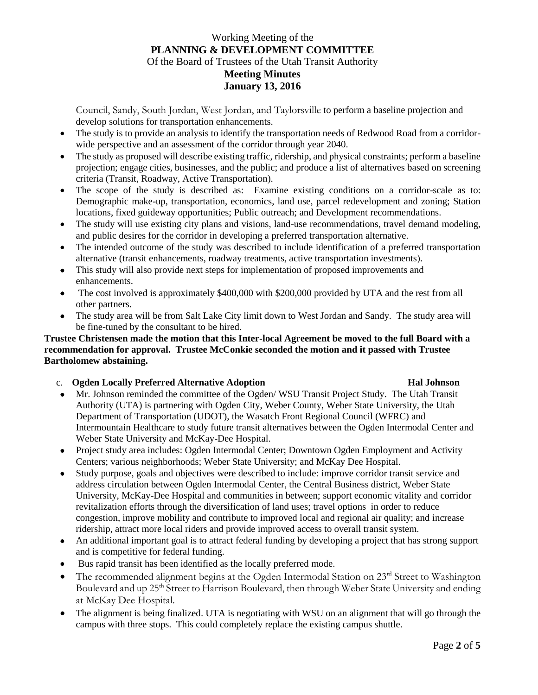# Working Meeting of the **PLANNING & DEVELOPMENT COMMITTEE** Of the Board of Trustees of the Utah Transit Authority **Meeting Minutes January 13, 2016**

Council, Sandy, South Jordan, West Jordan, and Taylorsville to perform a baseline projection and develop solutions for transportation enhancements.

- The study is to provide an analysis to identify the transportation needs of Redwood Road from a corridorwide perspective and an assessment of the corridor through year 2040.
- The study as proposed will describe existing traffic, ridership, and physical constraints; perform a baseline projection; engage cities, businesses, and the public; and produce a list of alternatives based on screening criteria (Transit, Roadway, Active Transportation).
- The scope of the study is described as: Examine existing conditions on a corridor-scale as to: Demographic make-up, transportation, economics, land use, parcel redevelopment and zoning; Station locations, fixed guideway opportunities; Public outreach; and Development recommendations.
- The study will use existing city plans and visions, land-use recommendations, travel demand modeling, and public desires for the corridor in developing a preferred transportation alternative.
- The intended outcome of the study was described to include identification of a preferred transportation alternative (transit enhancements, roadway treatments, active transportation investments).
- This study will also provide next steps for implementation of proposed improvements and enhancements.
- The cost involved is approximately \$400,000 with \$200,000 provided by UTA and the rest from all other partners.
- The study area will be from Salt Lake City limit down to West Jordan and Sandy. The study area will be fine-tuned by the consultant to be hired.

## **Trustee Christensen made the motion that this Inter-local Agreement be moved to the full Board with a recommendation for approval. Trustee McConkie seconded the motion and it passed with Trustee Bartholomew abstaining.**

c. **Ogden Locally Preferred Alternative Adoption Hal Johnson**

- Mr. Johnson reminded the committee of the Ogden/ WSU Transit Project Study. The Utah Transit Authority (UTA) is partnering with Ogden City, Weber County, Weber State University, the Utah Department of Transportation (UDOT), the Wasatch Front Regional Council (WFRC) and Intermountain Healthcare to study future transit alternatives between the Ogden Intermodal Center and Weber State University and McKay-Dee Hospital.
- Project study area includes: Ogden Intermodal Center; Downtown Ogden Employment and Activity Centers; various neighborhoods; Weber State University; and McKay Dee Hospital.
- Study purpose, goals and objectives were described to include: improve corridor transit service and address circulation between Ogden Intermodal Center, the Central Business district, Weber State University, McKay-Dee Hospital and communities in between; support economic vitality and corridor revitalization efforts through the diversification of land uses; travel options in order to reduce congestion, improve mobility and contribute to improved local and regional air quality; and increase ridership, attract more local riders and provide improved access to overall transit system.
- An additional important goal is to attract federal funding by developing a project that has strong support and is competitive for federal funding.
- Bus rapid transit has been identified as the locally preferred mode.
- $\bullet$  The recommended alignment begins at the Ogden Intermodal Station on  $23^{rd}$  Street to Washington Boulevard and up 25<sup>th</sup> Street to Harrison Boulevard, then through Weber State University and ending at McKay Dee Hospital.
- The alignment is being finalized. UTA is negotiating with WSU on an alignment that will go through the campus with three stops. This could completely replace the existing campus shuttle.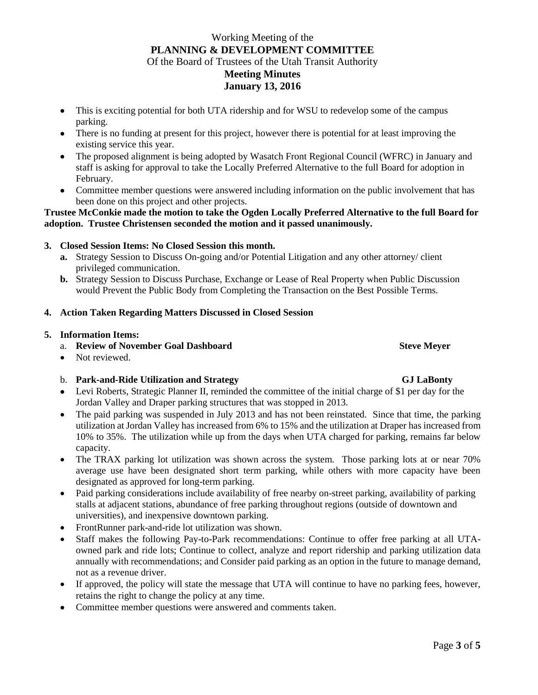# Working Meeting of the **PLANNING & DEVELOPMENT COMMITTEE** Of the Board of Trustees of the Utah Transit Authority **Meeting Minutes January 13, 2016**

- This is exciting potential for both UTA ridership and for WSU to redevelop some of the campus parking.
- There is no funding at present for this project, however there is potential for at least improving the existing service this year.
- The proposed alignment is being adopted by Wasatch Front Regional Council (WFRC) in January and staff is asking for approval to take the Locally Preferred Alternative to the full Board for adoption in February.
- Committee member questions were answered including information on the public involvement that has been done on this project and other projects.

## **Trustee McConkie made the motion to take the Ogden Locally Preferred Alternative to the full Board for adoption. Trustee Christensen seconded the motion and it passed unanimously.**

## **3. Closed Session Items: No Closed Session this month.**

- **a.** Strategy Session to Discuss On-going and/or Potential Litigation and any other attorney/ client privileged communication.
- **b.** Strategy Session to Discuss Purchase, Exchange or Lease of Real Property when Public Discussion would Prevent the Public Body from Completing the Transaction on the Best Possible Terms.

### **4. Action Taken Regarding Matters Discussed in Closed Session**

#### **5. Information Items:**

- a. **Review of November Goal Dashboard Steve Meyer** Steve Meyer
- Not reviewed.

### b. **Park-and-Ride Utilization and Strategy GJ LaBonty**

- Levi Roberts, Strategic Planner II, reminded the committee of the initial charge of \$1 per day for the Jordan Valley and Draper parking structures that was stopped in 2013.
- The paid parking was suspended in July 2013 and has not been reinstated. Since that time, the parking utilization at Jordan Valley has increased from 6% to 15% and the utilization at Draper has increased from 10% to 35%. The utilization while up from the days when UTA charged for parking, remains far below capacity.
- The TRAX parking lot utilization was shown across the system. Those parking lots at or near 70% average use have been designated short term parking, while others with more capacity have been designated as approved for long-term parking.
- Paid parking considerations include availability of free nearby on-street parking, availability of parking stalls at adjacent stations, abundance of free parking throughout regions (outside of downtown and universities), and inexpensive downtown parking.
- FrontRunner park-and-ride lot utilization was shown.
- Staff makes the following Pay-to-Park recommendations: Continue to offer free parking at all UTAowned park and ride lots; Continue to collect, analyze and report ridership and parking utilization data annually with recommendations; and Consider paid parking as an option in the future to manage demand, not as a revenue driver.
- If approved, the policy will state the message that UTA will continue to have no parking fees, however, retains the right to change the policy at any time.
- Committee member questions were answered and comments taken.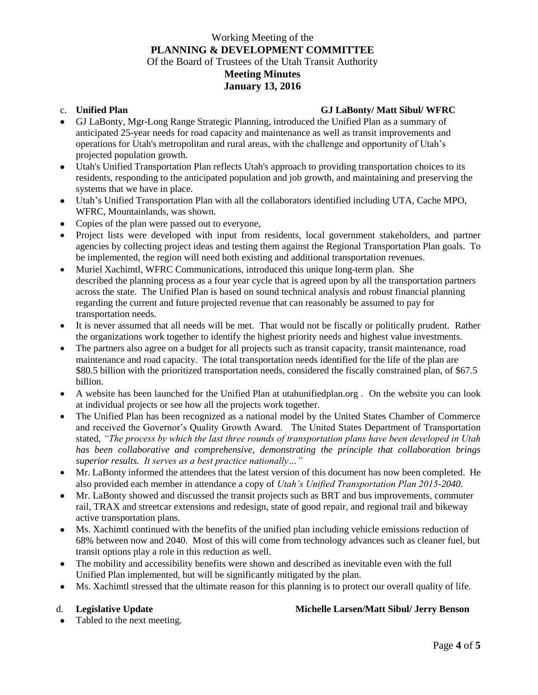# Working Meeting of the **PLANNING & DEVELOPMENT COMMITTEE** Of the Board of Trustees of the Utah Transit Authority **Meeting Minutes January 13, 2016**

### c. **Unified Plan GJ LaBonty/ Matt Sibul/ WFRC**

- GJ LaBonty, Mgr-Long Range Strategic Planning, introduced the Unified Plan as a summary of anticipated 25-year needs for road capacity and maintenance as well as transit improvements and operations for Utah's metropolitan and rural areas, with the challenge and opportunity of Utah's projected population growth.
- Utah's Unified Transportation Plan reflects Utah's approach to providing transportation choices to its residents, responding to the anticipated population and job growth, and maintaining and preserving the systems that we have in place.
- Utah's Unified Transportation Plan with all the collaborators identified including UTA, Cache MPO, WFRC, Mountainlands, was shown.
- Copies of the plan were passed out to everyone,
- Project lists were developed with input from residents, local government stakeholders, and partner agencies by collecting project ideas and testing them against the Regional Transportation Plan goals. To be implemented, the region will need both existing and additional transportation revenues.
- Muriel Xachimtl, WFRC Communications, introduced this unique long-term plan. She described the planning process as a four year cycle that is agreed upon by all the transportation partners across the state. The Unified Plan is based on sound technical analysis and robust financial planning regarding the current and future projected revenue that can reasonably be assumed to pay for transportation needs.
- It is never assumed that all needs will be met. That would not be fiscally or politically prudent. Rather the organizations work together to identify the highest priority needs and highest value investments.
- The partners also agree on a budget for all projects such as transit capacity, transit maintenance, road maintenance and road capacity. The total transportation needs identified for the life of the plan are \$80.5 billion with the prioritized transportation needs, considered the fiscally constrained plan, of \$67.5 billion.
- A website has been launched for the Unified Plan at utahunifiedplan.org . On the website you can look at individual projects or see how all the projects work together.
- The Unified Plan has been recognized as a national model by the United States Chamber of Commerce and received the Governor's Quality Growth Award. The United States Department of Transportation stated, *"The process by which the last three rounds of transportation plans have been developed in Utah has been collaborative and comprehensive, demonstrating the principle that collaboration brings superior results. It serves as a best practice nationally…"*
- Mr. LaBonty informed the attendees that the latest version of this document has now been completed. He also provided each member in attendance a copy of *Utah's Unified Transportation Plan 2015-2040.*
- Mr. LaBonty showed and discussed the transit projects such as BRT and bus improvements, commuter rail, TRAX and streetcar extensions and redesign, state of good repair, and regional trail and bikeway active transportation plans.
- Ms. Xachimtl continued with the benefits of the unified plan including vehicle emissions reduction of 68% between now and 2040. Most of this will come from technology advances such as cleaner fuel, but transit options play a role in this reduction as well.
- The mobility and accessibility benefits were shown and described as inevitable even with the full Unified Plan implemented, but will be significantly mitigated by the plan.
- Ms. Xachimtl stressed that the ultimate reason for this planning is to protect our overall quality of life.

### d. **Legislative Update Michelle Larsen/Matt Sibul/ Jerry Benson**

• Tabled to the next meeting.